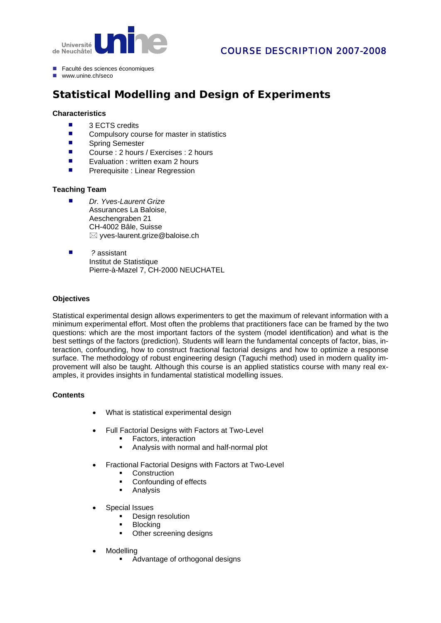

- Faculté des sciences économiques
- www.unine.ch/seco

# **Statistical Modelling and Design of Experiments**

#### **Characteristics**

- 3 ECTS credits
- Compulsory course for master in statistics<br>■ Spring Semester
- Spring Semester
- Course : 2 hours / Exercises : 2 hours
- **EXECUTE:** Evaluation : written exam 2 hours
- **Prerequisite : Linear Regression**

#### **Teaching Team**

- Dr. Yves-Laurent Grize Assurances La Baloise, Aeschengraben 21 CH-4002 Bâle, Suisse  $\boxtimes$  yves-laurent.grize@baloise.ch
- *?* assistant Institut de Statistique Pierre-à-Mazel 7, CH-2000 NEUCHATEL

#### **Objectives**

Statistical experimental design allows experimenters to get the maximum of relevant information with a minimum experimental effort. Most often the problems that practitioners face can be framed by the two questions: which are the most important factors of the system (model identification) and what is the best settings of the factors (prediction). Students will learn the fundamental concepts of factor, bias, interaction, confounding, how to construct fractional factorial designs and how to optimize a response surface. The methodology of robust engineering design (Taguchi method) used in modern quality improvement will also be taught. Although this course is an applied statistics course with many real examples, it provides insights in fundamental statistical modelling issues.

## **Contents**

- What is statistical experimental design
- Full Factorial Designs with Factors at Two-Level
	- Factors, interaction
	- Analysis with normal and half-normal plot
- Fractional Factorial Designs with Factors at Two-Level
	- **-** Construction
	- Confounding of effects
	- **Analysis**
- Special Issues
	- **•** Design resolution
	- **Blocking**
	- Other screening designs
- **Modelling** 
	- **Advantage of orthogonal designs**